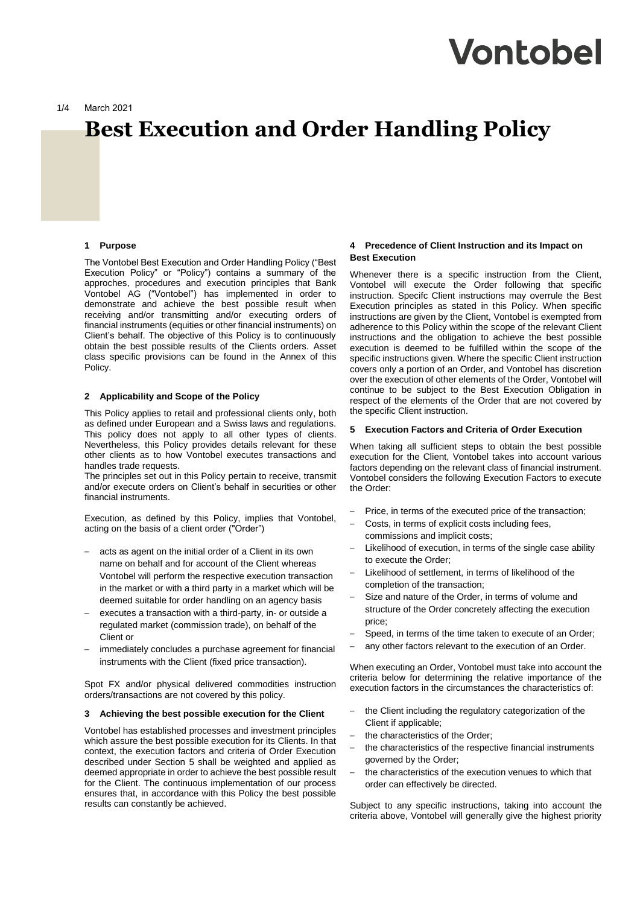# Vontobel

1/4 March 2021

# **Best Execution and Order Handling Policy**

#### **1 Purpose**

The Vontobel Best Execution and Order Handling Policy ("Best Execution Policy" or "Policy") contains a summary of the approches, procedures and execution principles that Bank Vontobel AG ("Vontobel") has implemented in order to demonstrate and achieve the best possible result when receiving and/or transmitting and/or executing orders of financial instruments (equities or other financial instruments) on Client's behalf. The objective of this Policy is to continuously obtain the best possible results of the Clients orders. Asset class specific provisions can be found in the Annex of this Policy.

### **2 Applicability and Scope of the Policy**

This Policy applies to retail and professional clients only, both as defined under European and a Swiss laws and regulations. This policy does not apply to all other types of clients. Nevertheless, this Policy provides details relevant for these other clients as to how Vontobel executes transactions and handles trade requests.

The principles set out in this Policy pertain to receive, transmit and/or execute orders on Client's behalf in securities or other financial instruments.

Execution, as defined by this Policy, implies that Vontobel, acting on the basis of a client order ("Order")

- acts as agent on the initial order of a Client in its own name on behalf and for account of the Client whereas Vontobel will perform the respective execution transaction in the market or with a third party in a market which will be deemed suitable for order handling on an agency basis
- executes a transaction with a third-party, in- or outside a regulated market (commission trade), on behalf of the Client or
- immediately concludes a purchase agreement for financial instruments with the Client (fixed price transaction).

Spot FX and/or physical delivered commodities instruction orders/transactions are not covered by this policy.

#### **3 Achieving the best possible execution for the Client**

Vontobel has established processes and investment principles which assure the best possible execution for its Clients. In that context, the execution factors and criteria of Order Execution described under Section 5 shall be weighted and applied as deemed appropriate in order to achieve the best possible result for the Client. The continuous implementation of our process ensures that, in accordance with this Policy the best possible results can constantly be achieved.

# **4 Precedence of Client Instruction and its Impact on Best Execution**

Whenever there is a specific instruction from the Client, Vontobel will execute the Order following that specific instruction. Specifc Client instructions may overrule the Best Execution principles as stated in this Policy. When specific instructions are given by the Client, Vontobel is exempted from adherence to this Policy within the scope of the relevant Client instructions and the obligation to achieve the best possible execution is deemed to be fulfilled within the scope of the specific instructions given. Where the specific Client instruction covers only a portion of an Order, and Vontobel has discretion over the execution of other elements of the Order, Vontobel will continue to be subject to the Best Execution Obligation in respect of the elements of the Order that are not covered by the specific Client instruction.

#### **5 Execution Factors and Criteria of Order Execution**

When taking all sufficient steps to obtain the best possible execution for the Client, Vontobel takes into account various factors depending on the relevant class of financial instrument. Vontobel considers the following Execution Factors to execute the Order:

- Price, in terms of the executed price of the transaction;
- Costs, in terms of explicit costs including fees, commissions and implicit costs;
- Likelihood of execution, in terms of the single case ability to execute the Order;
- Likelihood of settlement, in terms of likelihood of the completion of the transaction;
- Size and nature of the Order, in terms of volume and structure of the Order concretely affecting the execution price;
- Speed, in terms of the time taken to execute of an Order:
- any other factors relevant to the execution of an Order.

When executing an Order, Vontobel must take into account the criteria below for determining the relative importance of the execution factors in the circumstances the characteristics of:

- the Client including the regulatory categorization of the Client if applicable;
- the characteristics of the Order;
- the characteristics of the respective financial instruments governed by the Order;
- the characteristics of the execution venues to which that order can effectively be directed.

Subject to any specific instructions, taking into account the criteria above, Vontobel will generally give the highest priority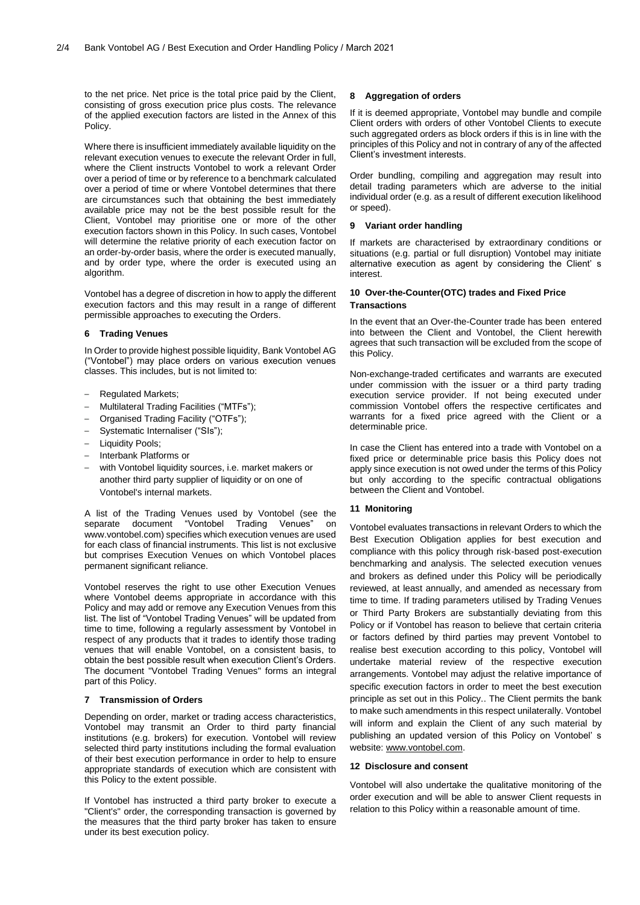to the net price. Net price is the total price paid by the Client, consisting of gross execution price plus costs. The relevance of the applied execution factors are listed in the Annex of this Policy.

Where there is insufficient immediately available liquidity on the relevant execution venues to execute the relevant Order in full, where the Client instructs Vontobel to work a relevant Order over a period of time or by reference to a benchmark calculated over a period of time or where Vontobel determines that there are circumstances such that obtaining the best immediately available price may not be the best possible result for the Client, Vontobel may prioritise one or more of the other execution factors shown in this Policy. In such cases, Vontobel will determine the relative priority of each execution factor on an order-by-order basis, where the order is executed manually, and by order type, where the order is executed using an algorithm.

Vontobel has a degree of discretion in how to apply the different execution factors and this may result in a range of different permissible approaches to executing the Orders.

#### **6 Trading Venues**

In Order to provide highest possible liquidity, Bank Vontobel AG ("Vontobel") may place orders on various execution venues classes. This includes, but is not limited to:

- Regulated Markets;
- Multilateral Trading Facilities ("MTFs");
- Organised Trading Facility ("OTFs");
- Systematic Internaliser ("SIs");
- Liquidity Pools;
- Interbank Platforms or
- with Vontobel liquidity sources, i.e. market makers or another third party supplier of liquidity or on one of Vontobel's internal markets.

A list of the Trading Venues used by Vontobel (see the separate document "Vontobel Trading Venues" on www.vontobel.com) specifies which execution venues are used for each class of financial instruments. This list is not exclusive but comprises Execution Venues on which Vontobel places permanent significant reliance.

Vontobel reserves the right to use other Execution Venues where Vontobel deems appropriate in accordance with this Policy and may add or remove any Execution Venues from this list. The list of "Vontobel Trading Venues" will be updated from time to time, following a regularly assessment by Vontobel in respect of any products that it trades to identify those trading venues that will enable Vontobel, on a consistent basis, to obtain the best possible result when execution Client's Orders. The document "Vontobel Trading Venues" forms an integral part of this Policy.

#### **7 Transmission of Orders**

Depending on order, market or trading access characteristics, Vontobel may transmit an Order to third party financial institutions (e.g. brokers) for execution. Vontobel will review selected third party institutions including the formal evaluation of their best execution performance in order to help to ensure appropriate standards of execution which are consistent with this Policy to the extent possible.

If Vontobel has instructed a third party broker to execute a "Client's" order, the corresponding transaction is governed by the measures that the third party broker has taken to ensure under its best execution policy.

#### **8 Aggregation of orders**

If it is deemed appropriate, Vontobel may bundle and compile Client orders with orders of other Vontobel Clients to execute such aggregated orders as block orders if this is in line with the principles of this Policy and not in contrary of any of the affected Client's investment interests.

Order bundling, compiling and aggregation may result into detail trading parameters which are adverse to the initial individual order (e.g. as a result of different execution likelihood or speed).

#### **9 Variant order handling**

If markets are characterised by extraordinary conditions or situations (e.g. partial or full disruption) Vontobel may initiate alternative execution as agent by considering the Client' s interest.

# **10 Over-the-Counter(OTC) trades and Fixed Price Transactions**

In the event that an Over-the-Counter trade has been entered into between the Client and Vontobel, the Client herewith agrees that such transaction will be excluded from the scope of this Policy.

Non-exchange-traded certificates and warrants are executed under commission with the issuer or a third party trading execution service provider. If not being executed under commission Vontobel offers the respective certificates and warrants for a fixed price agreed with the Client or a determinable price.

In case the Client has entered into a trade with Vontobel on a fixed price or determinable price basis this Policy does not apply since execution is not owed under the terms of this Policy but only according to the specific contractual obligations between the Client and Vontobel.

#### **11 Monitoring**

Vontobel evaluates transactions in relevant Orders to which the Best Execution Obligation applies for best execution and compliance with this policy through risk-based post-execution benchmarking and analysis. The selected execution venues and brokers as defined under this Policy will be periodically reviewed, at least annually, and amended as necessary from time to time. If trading parameters utilised by Trading Venues or Third Party Brokers are substantially deviating from this Policy or if Vontobel has reason to believe that certain criteria or factors defined by third parties may prevent Vontobel to realise best execution according to this policy, Vontobel will undertake material review of the respective execution arrangements. Vontobel may adjust the relative importance of specific execution factors in order to meet the best execution principle as set out in this Policy.. The Client permits the bank to make such amendments in this respect unilaterally. Vontobel will inform and explain the Client of any such material by publishing an updated version of this Policy on Vontobel' s website: [www.vontobel.com.](http://www.vontobel.com/)

#### **12 Disclosure and consent**

Vontobel will also undertake the qualitative monitoring of the order execution and will be able to answer Client requests in relation to this Policy within a reasonable amount of time.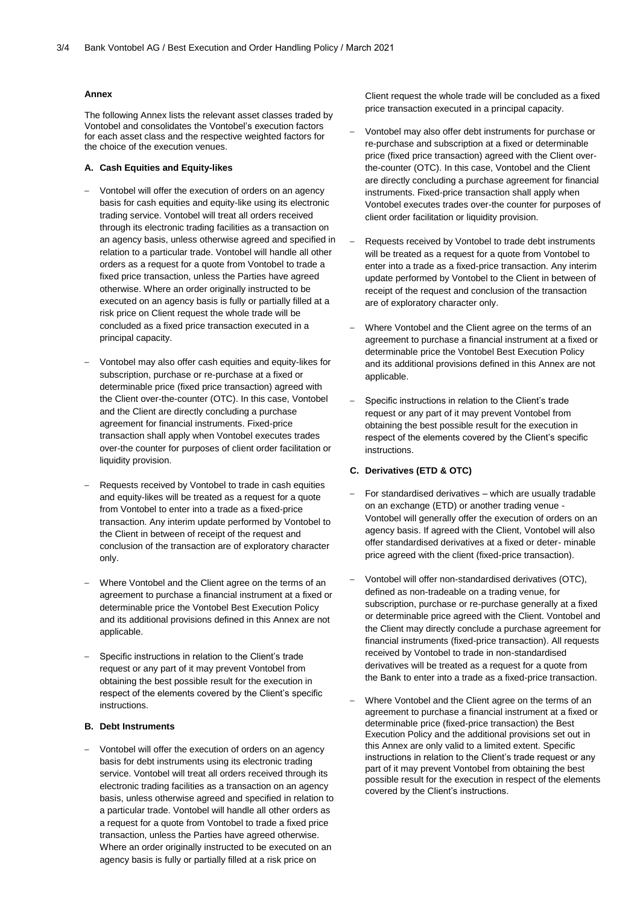# **Annex**

The following Annex lists the relevant asset classes traded by Vontobel and consolidates the Vontobel's execution factors for each asset class and the respective weighted factors for the choice of the execution venues.

#### **A. Cash Equities and Equity-likes**

- Vontobel will offer the execution of orders on an agency basis for cash equities and equity-like using its electronic trading service. Vontobel will treat all orders received through its electronic trading facilities as a transaction on an agency basis, unless otherwise agreed and specified in relation to a particular trade. Vontobel will handle all other orders as a request for a quote from Vontobel to trade a fixed price transaction, unless the Parties have agreed otherwise. Where an order originally instructed to be executed on an agency basis is fully or partially filled at a risk price on Client request the whole trade will be concluded as a fixed price transaction executed in a principal capacity.
- Vontobel may also offer cash equities and equity-likes for subscription, purchase or re-purchase at a fixed or determinable price (fixed price transaction) agreed with the Client over-the-counter (OTC). In this case, Vontobel and the Client are directly concluding a purchase agreement for financial instruments. Fixed-price transaction shall apply when Vontobel executes trades over-the counter for purposes of client order facilitation or liquidity provision.
- Requests received by Vontobel to trade in cash equities and equity-likes will be treated as a request for a quote from Vontobel to enter into a trade as a fixed-price transaction. Any interim update performed by Vontobel to the Client in between of receipt of the request and conclusion of the transaction are of exploratory character only.
- Where Vontobel and the Client agree on the terms of an agreement to purchase a financial instrument at a fixed or determinable price the Vontobel Best Execution Policy and its additional provisions defined in this Annex are not applicable.
- Specific instructions in relation to the Client's trade request or any part of it may prevent Vontobel from obtaining the best possible result for the execution in respect of the elements covered by the Client's specific instructions.

# **B. Debt Instruments**

– Vontobel will offer the execution of orders on an agency basis for debt instruments using its electronic trading service. Vontobel will treat all orders received through its electronic trading facilities as a transaction on an agency basis, unless otherwise agreed and specified in relation to a particular trade. Vontobel will handle all other orders as a request for a quote from Vontobel to trade a fixed price transaction, unless the Parties have agreed otherwise. Where an order originally instructed to be executed on an agency basis is fully or partially filled at a risk price on

Client request the whole trade will be concluded as a fixed price transaction executed in a principal capacity.

- Vontobel may also offer debt instruments for purchase or re-purchase and subscription at a fixed or determinable price (fixed price transaction) agreed with the Client overthe-counter (OTC). In this case, Vontobel and the Client are directly concluding a purchase agreement for financial instruments. Fixed-price transaction shall apply when Vontobel executes trades over-the counter for purposes of client order facilitation or liquidity provision.
- Requests received by Vontobel to trade debt instruments will be treated as a request for a quote from Vontobel to enter into a trade as a fixed-price transaction. Any interim update performed by Vontobel to the Client in between of receipt of the request and conclusion of the transaction are of exploratory character only.
- Where Vontobel and the Client agree on the terms of an agreement to purchase a financial instrument at a fixed or determinable price the Vontobel Best Execution Policy and its additional provisions defined in this Annex are not applicable.
- Specific instructions in relation to the Client's trade request or any part of it may prevent Vontobel from obtaining the best possible result for the execution in respect of the elements covered by the Client's specific instructions.

# **C. Derivatives (ETD & OTC)**

- For standardised derivatives which are usually tradable on an exchange (ETD) or another trading venue - Vontobel will generally offer the execution of orders on an agency basis. If agreed with the Client, Vontobel will also offer standardised derivatives at a fixed or deter- minable price agreed with the client (fixed-price transaction).
- Vontobel will offer non-standardised derivatives (OTC), defined as non-tradeable on a trading venue, for subscription, purchase or re-purchase generally at a fixed or determinable price agreed with the Client. Vontobel and the Client may directly conclude a purchase agreement for financial instruments (fixed-price transaction). All requests received by Vontobel to trade in non-standardised derivatives will be treated as a request for a quote from the Bank to enter into a trade as a fixed-price transaction.
- Where Vontobel and the Client agree on the terms of an agreement to purchase a financial instrument at a fixed or determinable price (fixed-price transaction) the Best Execution Policy and the additional provisions set out in this Annex are only valid to a limited extent. Specific instructions in relation to the Client's trade request or any part of it may prevent Vontobel from obtaining the best possible result for the execution in respect of the elements covered by the Client's instructions.